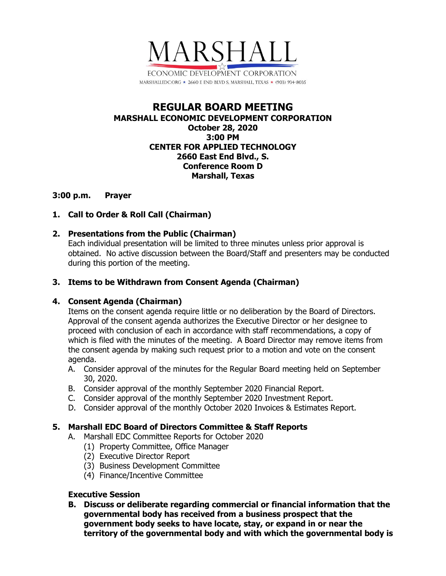

# **REGULAR BOARD MEETING MARSHALL ECONOMIC DEVELOPMENT CORPORATION October 28, 2020 3:00 PM CENTER FOR APPLIED TECHNOLOGY 2660 East End Blvd., S. Conference Room D Marshall, Texas**

### **3:00 p.m. Prayer**

# **1. Call to Order & Roll Call (Chairman)**

# **2. Presentations from the Public (Chairman)**

Each individual presentation will be limited to three minutes unless prior approval is obtained. No active discussion between the Board/Staff and presenters may be conducted during this portion of the meeting.

# **3. Items to be Withdrawn from Consent Agenda (Chairman)**

# **4. Consent Agenda (Chairman)**

Items on the consent agenda require little or no deliberation by the Board of Directors. Approval of the consent agenda authorizes the Executive Director or her designee to proceed with conclusion of each in accordance with staff recommendations, a copy of which is filed with the minutes of the meeting. A Board Director may remove items from the consent agenda by making such request prior to a motion and vote on the consent agenda.

- A. Consider approval of the minutes for the Regular Board meeting held on September 30, 2020.
- B. Consider approval of the monthly September 2020 Financial Report.
- C. Consider approval of the monthly September 2020 Investment Report.
- D. Consider approval of the monthly October 2020 Invoices & Estimates Report.

# **5. Marshall EDC Board of Directors Committee & Staff Reports**

- A. Marshall EDC Committee Reports for October 2020
	- (1) Property Committee, Office Manager
	- (2) Executive Director Report
	- (3) Business Development Committee
	- (4) Finance/Incentive Committee

### **Executive Session**

**B. Discuss or deliberate regarding commercial or financial information that the governmental body has received from a business prospect that the government body seeks to have locate, stay, or expand in or near the territory of the governmental body and with which the governmental body is**